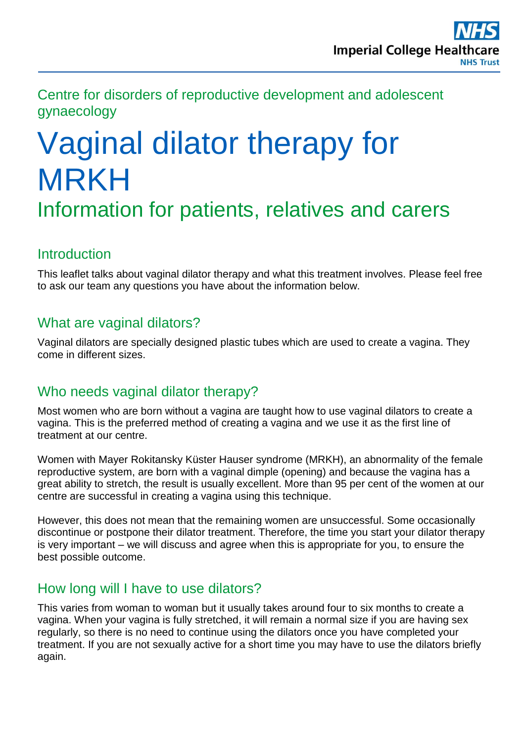Centre for disorders of reproductive development and adolescent gynaecology

# Vaginal dilator therapy for MRKH

# Information for patients, relatives and carers

## **Introduction**

This leaflet talks about vaginal dilator therapy and what this treatment involves. Please feel free to ask our team any questions you have about the information below.

### What are vaginal dilators?

Vaginal dilators are specially designed plastic tubes which are used to create a vagina. They come in different sizes.

# Who needs vaginal dilator therapy?

Most women who are born without a vagina are taught how to use vaginal dilators to create a vagina. This is the preferred method of creating a vagina and we use it as the first line of treatment at our centre.

Women with Mayer Rokitansky Küster Hauser syndrome (MRKH), an abnormality of the female reproductive system, are born with a vaginal dimple (opening) and because the vagina has a great ability to stretch, the result is usually excellent. More than 95 per cent of the women at our centre are successful in creating a vagina using this technique.

However, this does not mean that the remaining women are unsuccessful. Some occasionally discontinue or postpone their dilator treatment. Therefore, the time you start your dilator therapy is very important – we will discuss and agree when this is appropriate for you, to ensure the best possible outcome.

### How long will I have to use dilators?

This varies from woman to woman but it usually takes around four to six months to create a vagina. When your vagina is fully stretched, it will remain a normal size if you are having sex regularly, so there is no need to continue using the dilators once you have completed your treatment. If you are not sexually active for a short time you may have to use the dilators briefly again.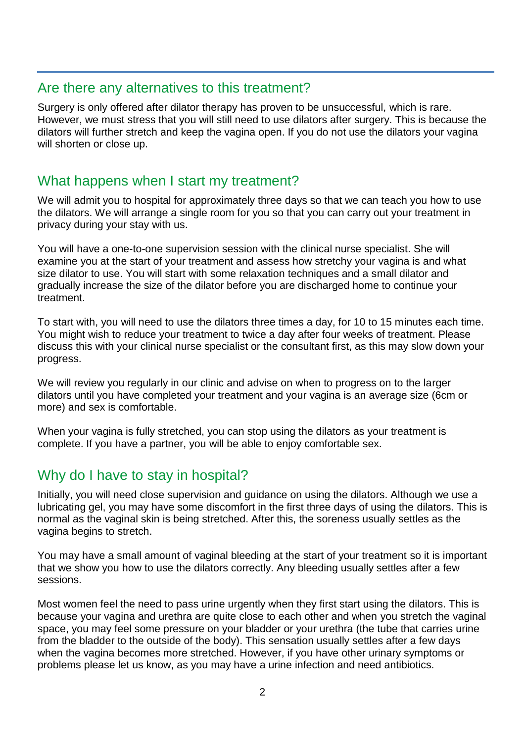#### Are there any alternatives to this treatment?

Surgery is only offered after dilator therapy has proven to be unsuccessful, which is rare. However, we must stress that you will still need to use dilators after surgery. This is because the dilators will further stretch and keep the vagina open. If you do not use the dilators your vagina will shorten or close up.

#### What happens when I start my treatment?

We will admit you to hospital for approximately three days so that we can teach you how to use the dilators. We will arrange a single room for you so that you can carry out your treatment in privacy during your stay with us.

You will have a one-to-one supervision session with the clinical nurse specialist. She will examine you at the start of your treatment and assess how stretchy your vagina is and what size dilator to use. You will start with some relaxation techniques and a small dilator and gradually increase the size of the dilator before you are discharged home to continue your treatment.

To start with, you will need to use the dilators three times a day, for 10 to 15 minutes each time. You might wish to reduce your treatment to twice a day after four weeks of treatment. Please discuss this with your clinical nurse specialist or the consultant first, as this may slow down your progress.

We will review you regularly in our clinic and advise on when to progress on to the larger dilators until you have completed your treatment and your vagina is an average size (6cm or more) and sex is comfortable.

When your vagina is fully stretched, you can stop using the dilators as your treatment is complete. If you have a partner, you will be able to enjoy comfortable sex.

### Why do I have to stay in hospital?

Initially, you will need close supervision and guidance on using the dilators. Although we use a lubricating gel, you may have some discomfort in the first three days of using the dilators. This is normal as the vaginal skin is being stretched. After this, the soreness usually settles as the vagina begins to stretch.

You may have a small amount of vaginal bleeding at the start of your treatment so it is important that we show you how to use the dilators correctly. Any bleeding usually settles after a few sessions.

Most women feel the need to pass urine urgently when they first start using the dilators. This is because your vagina and urethra are quite close to each other and when you stretch the vaginal space, you may feel some pressure on your bladder or your urethra (the tube that carries urine from the bladder to the outside of the body). This sensation usually settles after a few days when the vagina becomes more stretched. However, if you have other urinary symptoms or problems please let us know, as you may have a urine infection and need antibiotics.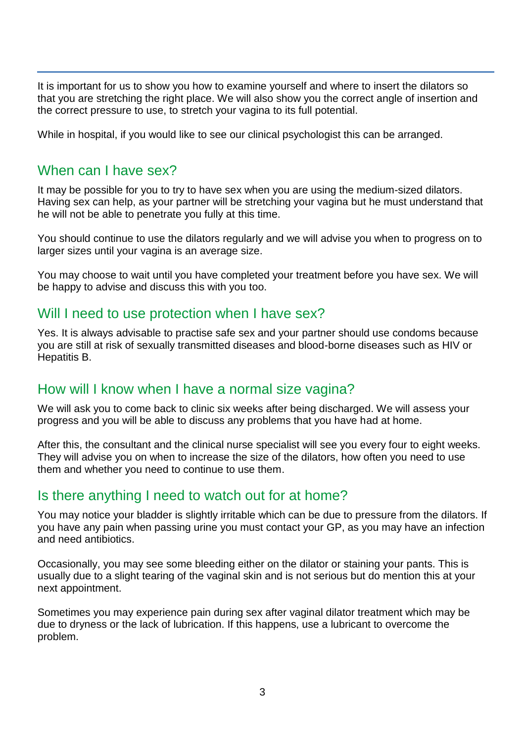It is important for us to show you how to examine yourself and where to insert the dilators so that you are stretching the right place. We will also show you the correct angle of insertion and the correct pressure to use, to stretch your vagina to its full potential.

While in hospital, if you would like to see our clinical psychologist this can be arranged.

#### When can I have sex?

It may be possible for you to try to have sex when you are using the medium-sized dilators. Having sex can help, as your partner will be stretching your vagina but he must understand that he will not be able to penetrate you fully at this time.

You should continue to use the dilators regularly and we will advise you when to progress on to larger sizes until your vagina is an average size.

You may choose to wait until you have completed your treatment before you have sex. We will be happy to advise and discuss this with you too.

#### Will I need to use protection when I have sex?

Yes. It is always advisable to practise safe sex and your partner should use condoms because you are still at risk of sexually transmitted diseases and blood-borne diseases such as HIV or Hepatitis B.

#### How will I know when I have a normal size vagina?

We will ask you to come back to clinic six weeks after being discharged. We will assess your progress and you will be able to discuss any problems that you have had at home.

After this, the consultant and the clinical nurse specialist will see you every four to eight weeks. They will advise you on when to increase the size of the dilators, how often you need to use them and whether you need to continue to use them.

#### Is there anything I need to watch out for at home?

You may notice your bladder is slightly irritable which can be due to pressure from the dilators. If you have any pain when passing urine you must contact your GP, as you may have an infection and need antibiotics.

Occasionally, you may see some bleeding either on the dilator or staining your pants. This is usually due to a slight tearing of the vaginal skin and is not serious but do mention this at your next appointment.

Sometimes you may experience pain during sex after vaginal dilator treatment which may be due to dryness or the lack of lubrication. If this happens, use a lubricant to overcome the problem.